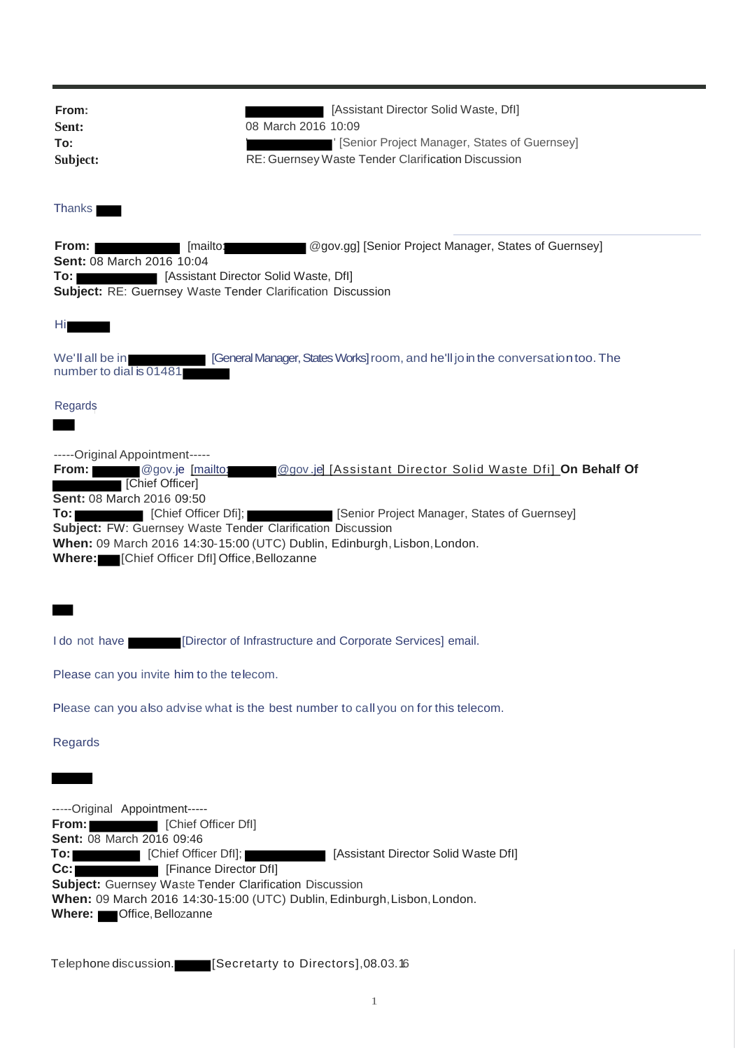| From:<br>Sent:<br>To:<br>Subject:                                                                                                                                                                                                                                 | [Assistant Director Solid Waste, Dfl]<br>08 March 2016 10:09<br>' [Senior Project Manager, States of Guernsey]<br>RE: Guernsey Waste Tender Clarification Discussion                          |
|-------------------------------------------------------------------------------------------------------------------------------------------------------------------------------------------------------------------------------------------------------------------|-----------------------------------------------------------------------------------------------------------------------------------------------------------------------------------------------|
| <b>Thanks</b>                                                                                                                                                                                                                                                     |                                                                                                                                                                                               |
| From:<br>[mailto:<br>Sent: 08 March 2016 10:04<br>[Assistant Director Solid Waste, Dfl]<br>To: I<br>Subject: RE: Guernsey Waste Tender Clarification Discussion                                                                                                   | @gov.gg] [Senior Project Manager, States of Guernsey]                                                                                                                                         |
| Ηi                                                                                                                                                                                                                                                                |                                                                                                                                                                                               |
| We'll all be in<br>number to dial is 01481                                                                                                                                                                                                                        | [General Manager, States Works] room, and he'll join the conversation too. The                                                                                                                |
| Regards                                                                                                                                                                                                                                                           |                                                                                                                                                                                               |
| -----Original Appointment-----<br>From: @gov.je [mailto:<br>[Chief Officer]<br>Sent: 08 March 2016 09:50<br>[Chief Officer Dfi];<br>To: I<br>Subject: FW: Guernsey Waste Tender Clarification Discussion<br>Where: [Chief Officer Dfl] Office, Bellozanne         | <b>@gov.jel [Assistant Director Solid Waste Dfi] On Behalf Of</b><br>[Senior Project Manager, States of Guernsey]<br>When: 09 March 2016 14:30-15:00 (UTC) Dublin, Edinburgh, Lisbon, London. |
|                                                                                                                                                                                                                                                                   |                                                                                                                                                                                               |
| I do not have                                                                                                                                                                                                                                                     | [Director of Infrastructure and Corporate Services] email.                                                                                                                                    |
| Please can you invite him to the telecom.                                                                                                                                                                                                                         |                                                                                                                                                                                               |
|                                                                                                                                                                                                                                                                   | Please can you also advise what is the best number to call you on for this telecom.                                                                                                           |
| Regards                                                                                                                                                                                                                                                           |                                                                                                                                                                                               |
|                                                                                                                                                                                                                                                                   |                                                                                                                                                                                               |
| -----Original Appointment-----<br>From:<br>[Chief Officer Dfl]<br><b>Sent: 08 March 2016 09:46</b><br>To:<br>[Chief Officer DfI];<br>Cc:<br>[Finance Director Dfl]<br><b>Subject:</b> Guernsey Waste Tender Clarification Discussion<br>Where: Office, Bellozanne | [Assistant Director Solid Waste Dfl]<br>When: 09 March 2016 14:30-15:00 (UTC) Dublin, Edinburgh, Lisbon, London.                                                                              |

Telephone discussion. **[Secretarty to Directors]**,08.03.16